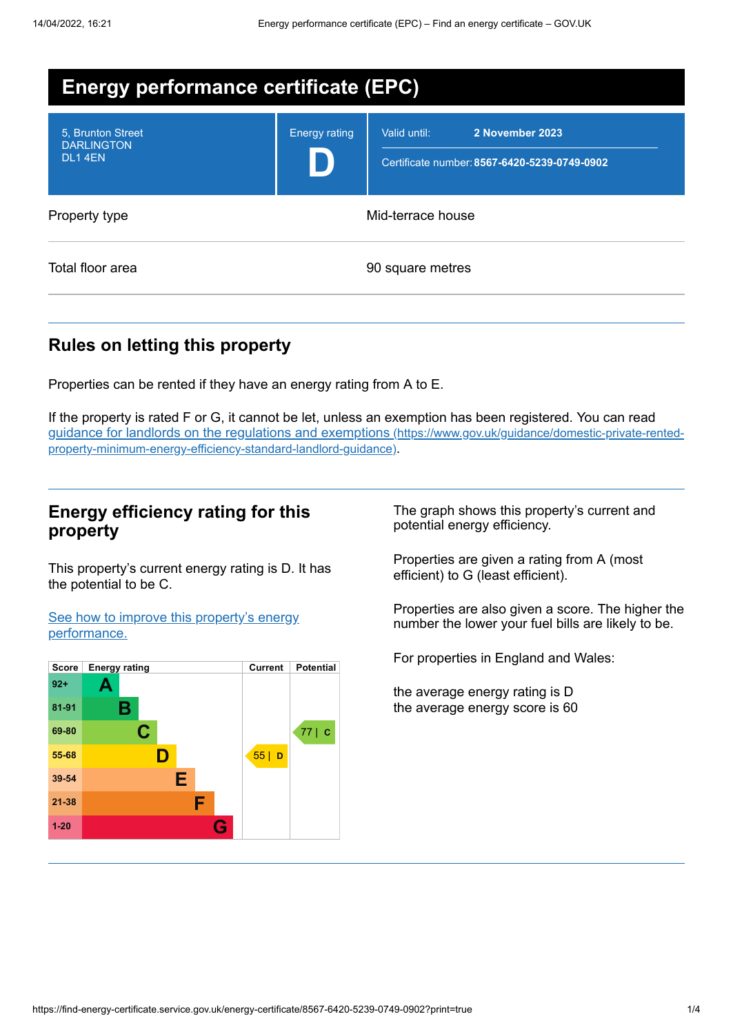| <b>Energy performance certificate (EPC)</b>      |                      |                                                                                 |
|--------------------------------------------------|----------------------|---------------------------------------------------------------------------------|
| 5. Brunton Street<br><b>DARLINGTON</b><br>DL14EN | <b>Energy rating</b> | 2 November 2023<br>Valid until:<br>Certificate number: 8567-6420-5239-0749-0902 |
| Property type                                    | Mid-terrace house    |                                                                                 |
| Total floor area                                 |                      | 90 square metres                                                                |

## **Rules on letting this property**

Properties can be rented if they have an energy rating from A to E.

If the property is rated F or G, it cannot be let, unless an exemption has been registered. You can read guidance for landlords on the regulations and exemptions (https://www.gov.uk/guidance/domestic-private-rented[property-minimum-energy-efficiency-standard-landlord-guidance\)](https://www.gov.uk/guidance/domestic-private-rented-property-minimum-energy-efficiency-standard-landlord-guidance).

## **Energy efficiency rating for this property**

This property's current energy rating is D. It has the potential to be C.

See how to improve this property's energy [performance.](#page-2-0)



The graph shows this property's current and potential energy efficiency.

Properties are given a rating from A (most efficient) to G (least efficient).

Properties are also given a score. The higher the number the lower your fuel bills are likely to be.

For properties in England and Wales:

the average energy rating is D the average energy score is 60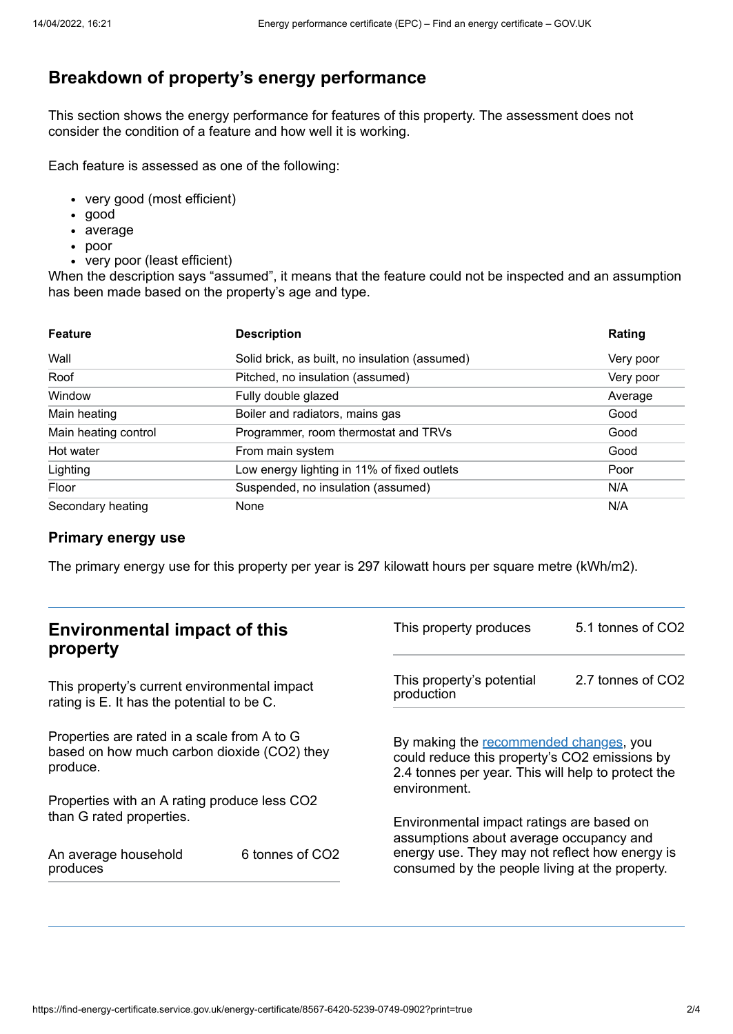# **Breakdown of property's energy performance**

This section shows the energy performance for features of this property. The assessment does not consider the condition of a feature and how well it is working.

Each feature is assessed as one of the following:

- very good (most efficient)
- good
- average
- poor
- very poor (least efficient)

When the description says "assumed", it means that the feature could not be inspected and an assumption has been made based on the property's age and type.

| <b>Feature</b>       | <b>Description</b>                             | Rating    |
|----------------------|------------------------------------------------|-----------|
| Wall                 | Solid brick, as built, no insulation (assumed) | Very poor |
| Roof                 | Pitched, no insulation (assumed)               | Very poor |
| Window               | Fully double glazed                            | Average   |
| Main heating         | Boiler and radiators, mains gas                | Good      |
| Main heating control | Programmer, room thermostat and TRVs           | Good      |
| Hot water            | From main system                               | Good      |
| Lighting             | Low energy lighting in 11% of fixed outlets    | Poor      |
| Floor                | Suspended, no insulation (assumed)             | N/A       |
| Secondary heating    | None                                           | N/A       |

#### **Primary energy use**

The primary energy use for this property per year is 297 kilowatt hours per square metre (kWh/m2).

| <b>Environmental impact of this</b><br>property                                                        |                 | This property produces                                                                                                                                        | 5.1 tonnes of CO2 |
|--------------------------------------------------------------------------------------------------------|-----------------|---------------------------------------------------------------------------------------------------------------------------------------------------------------|-------------------|
| This property's current environmental impact<br>rating is E. It has the potential to be C.             |                 | This property's potential<br>production                                                                                                                       | 2.7 tonnes of CO2 |
| Properties are rated in a scale from A to G<br>based on how much carbon dioxide (CO2) they<br>produce. |                 | By making the recommended changes, you<br>could reduce this property's CO2 emissions by<br>2.4 tonnes per year. This will help to protect the<br>environment. |                   |
| Properties with an A rating produce less CO2                                                           |                 |                                                                                                                                                               |                   |
| than G rated properties.                                                                               |                 | Environmental impact ratings are based on<br>assumptions about average occupancy and                                                                          |                   |
| An average household<br>produces                                                                       | 6 tonnes of CO2 | energy use. They may not reflect how energy is<br>consumed by the people living at the property.                                                              |                   |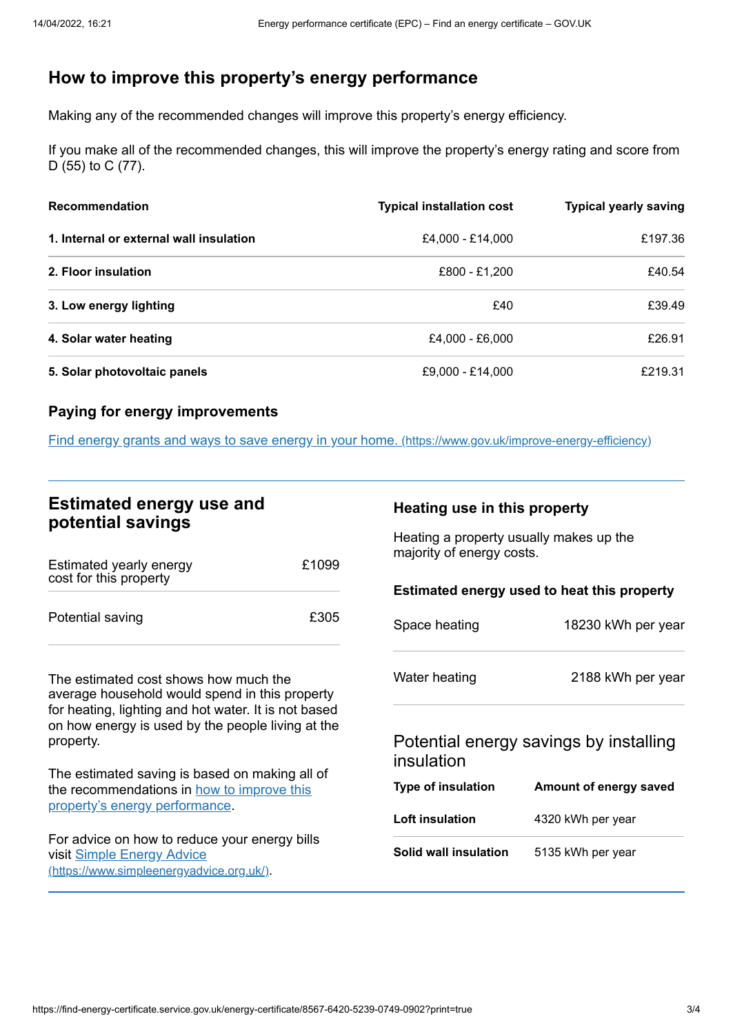# <span id="page-2-0"></span>**How to improve this property's energy performance**

Making any of the recommended changes will improve this property's energy efficiency.

If you make all of the recommended changes, this will improve the property's energy rating and score from D (55) to C (77).

| <b>Recommendation</b>                   | <b>Typical installation cost</b> | <b>Typical yearly saving</b> |
|-----------------------------------------|----------------------------------|------------------------------|
| 1. Internal or external wall insulation | £4,000 - £14,000                 | £197.36                      |
| 2. Floor insulation                     | £800 - £1,200                    | £40.54                       |
| 3. Low energy lighting                  | £40                              | £39.49                       |
| 4. Solar water heating                  | £4,000 - £6,000                  | £26.91                       |
| 5. Solar photovoltaic panels            | £9,000 - £14,000                 | £219.31                      |

#### **Paying for energy improvements**

Find energy grants and ways to save energy in your home. [\(https://www.gov.uk/improve-energy-efficiency\)](https://www.gov.uk/improve-energy-efficiency)

## **Estimated energy use and potential savings**

| Estimated yearly energy<br>cost for this property | £1099 |
|---------------------------------------------------|-------|
| Potential saving                                  | £305  |

The estimated cost shows how much the average household would spend in this property for heating, lighting and hot water. It is not based on how energy is used by the people living at the property.

The estimated saving is based on making all of the [recommendations](#page-2-0) in how to improve this property's energy performance.

For advice on how to reduce your energy bills visit Simple Energy Advice [\(https://www.simpleenergyadvice.org.uk/\)](https://www.simpleenergyadvice.org.uk/).

#### **Heating use in this property**

Heating a property usually makes up the majority of energy costs.

#### **Estimated energy used to heat this property**

| Space heating | 18230 kWh per year |
|---------------|--------------------|
| Water heating | 2188 kWh per year  |
|               |                    |

## Potential energy savings by installing insulation

| Type of insulation    | Amount of energy saved |  |
|-----------------------|------------------------|--|
| Loft insulation       | 4320 kWh per year      |  |
| Solid wall insulation | 5135 kWh per year      |  |